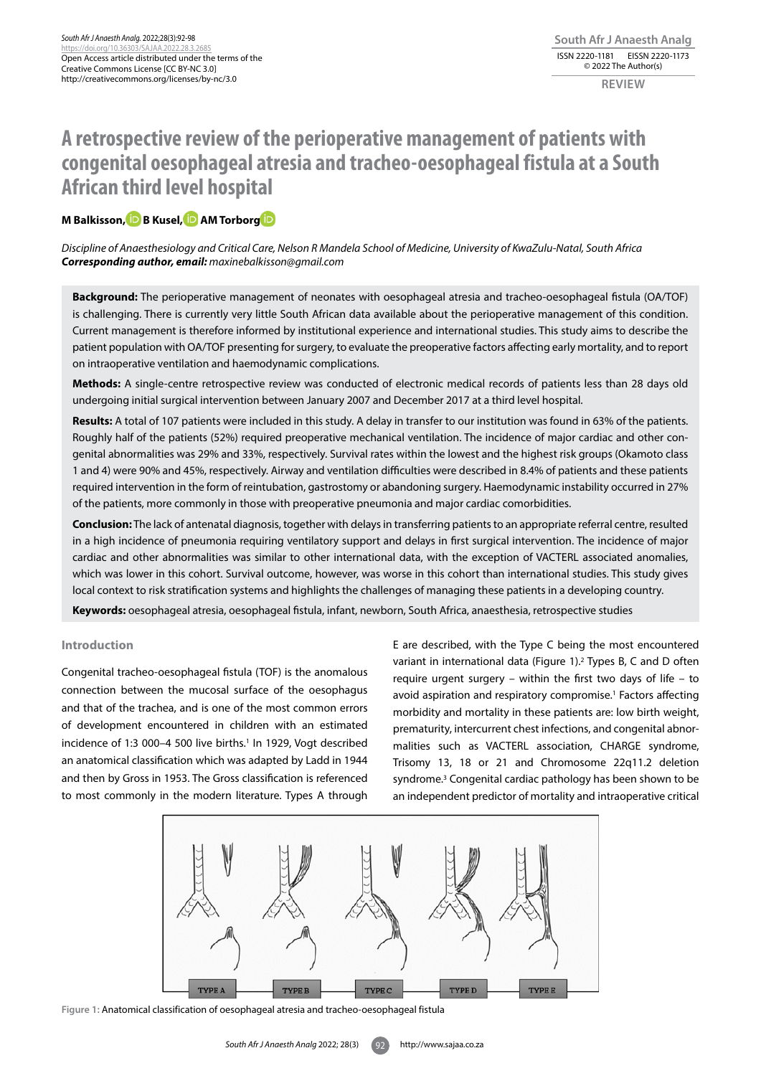# **A retrospective review of the perioperative management of patients with congenital oesophageal atresia and tracheo-oesophageal fistula at a South African third level hospital**

## **M** Balkisson, **D** B Kusel, **D** AM Torbor[g](https://orcid.org/0000-0002-1584-0112) **D**

*Discipline of Anaesthesiology and Critical Care, Nelson R Mandela School of Medicine, University of KwaZulu-Natal, South Africa Corresponding author, email: maxinebalkisson@gmail.com*

**Background:** The perioperative management of neonates with oesophageal atresia and tracheo-oesophageal fistula (OA/TOF) is challenging. There is currently very little South African data available about the perioperative management of this condition. Current management is therefore informed by institutional experience and international studies. This study aims to describe the patient population with OA/TOF presenting for surgery, to evaluate the preoperative factors affecting early mortality, and to report on intraoperative ventilation and haemodynamic complications.

**Methods:** A single-centre retrospective review was conducted of electronic medical records of patients less than 28 days old undergoing initial surgical intervention between January 2007 and December 2017 at a third level hospital.

**Results:** A total of 107 patients were included in this study. A delay in transfer to our institution was found in 63% of the patients. Roughly half of the patients (52%) required preoperative mechanical ventilation. The incidence of major cardiac and other congenital abnormalities was 29% and 33%, respectively. Survival rates within the lowest and the highest risk groups (Okamoto class 1 and 4) were 90% and 45%, respectively. Airway and ventilation difficulties were described in 8.4% of patients and these patients required intervention in the form of reintubation, gastrostomy or abandoning surgery. Haemodynamic instability occurred in 27% of the patients, more commonly in those with preoperative pneumonia and major cardiac comorbidities.

**Conclusion:** The lack of antenatal diagnosis, together with delays in transferring patients to an appropriate referral centre, resulted in a high incidence of pneumonia requiring ventilatory support and delays in first surgical intervention. The incidence of major cardiac and other abnormalities was similar to other international data, with the exception of VACTERL associated anomalies, which was lower in this cohort. Survival outcome, however, was worse in this cohort than international studies. This study gives local context to risk stratification systems and highlights the challenges of managing these patients in a developing country.

**Keywords:** oesophageal atresia, oesophageal fistula, infant, newborn, South Africa, anaesthesia, retrospective studies

## **Introduction**

Congenital tracheo-oesophageal fistula (TOF) is the anomalous connection between the mucosal surface of the oesophagus and that of the trachea, and is one of the most common errors of development encountered in children with an estimated incidence of 1:3 000-4 500 live births.<sup>1</sup> In 1929, Vogt described an anatomical classification which was adapted by Ladd in 1944 and then by Gross in 1953. The Gross classification is referenced to most commonly in the modern literature. Types A through

E are described, with the Type C being the most encountered variant in international data (Figure 1).2 Types B, C and D often require urgent surgery – within the first two days of life – to avoid aspiration and respiratory compromise.<sup>1</sup> Factors affecting morbidity and mortality in these patients are: low birth weight, prematurity, intercurrent chest infections, and congenital abnormalities such as VACTERL association, CHARGE syndrome, Trisomy 13, 18 or 21 and Chromosome 22q11.2 deletion syndrome.<sup>3</sup> Congenital cardiac pathology has been shown to be an independent predictor of mortality and intraoperative critical



**Figure 1:** Anatomical classification of oesophageal atresia and tracheo-oesophageal fistula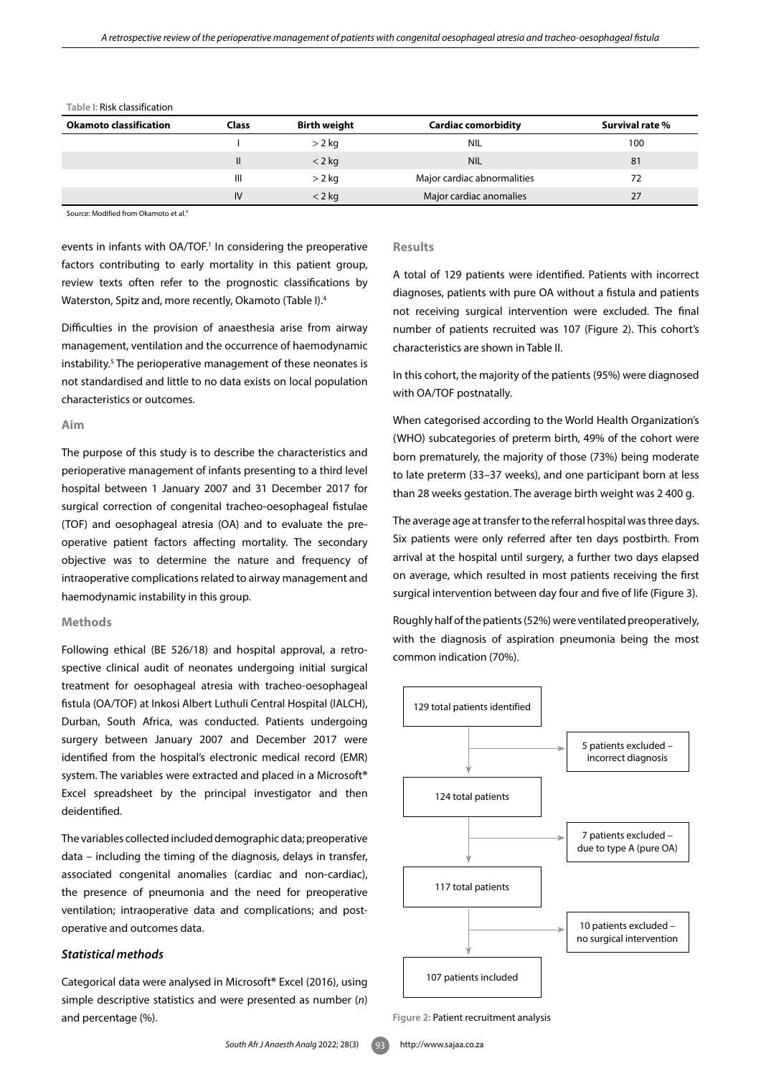| <b>Okamoto classification</b> | <b>Class</b> | Birth weight | <b>Cardiac comorbidity</b>  | Survival rate % |
|-------------------------------|--------------|--------------|-----------------------------|-----------------|
|                               |              | $> 2$ kg     | <b>NIL</b>                  | 100             |
|                               | Ш            | $<$ 2 kg     | <b>NIL</b>                  | 81              |
|                               | Ш            | $> 2$ kg     | Major cardiac abnormalities | 72              |
|                               | IV           | $<$ 2 kg     | Major cardiac anomalies     | 27              |

**Table I:** Risk classification

Source: Modified from Okamoto et al.4

events in infants with OA/TOF.<sup>1</sup> In considering the preoperative factors contributing to early mortality in this patient group, review texts often refer to the prognostic classifications by Waterston, Spitz and, more recently, Okamoto (Table I).4

Difficulties in the provision of anaesthesia arise from airway management, ventilation and the occurrence of haemodynamic instability.5 The perioperative management of these neonates is not standardised and little to no data exists on local population characteristics or outcomes.

## **Aim**

The purpose of this study is to describe the characteristics and perioperative management of infants presenting to a third level hospital between 1 January 2007 and 31 December 2017 for surgical correction of congenital tracheo-oesophageal fistulae (TOF) and oesophageal atresia (OA) and to evaluate the preoperative patient factors affecting mortality. The secondary objective was to determine the nature and frequency of intraoperative complications related to airway management and haemodynamic instability in this group.

#### **Methods**

Following ethical (BE 526/18) and hospital approval, a retrospective clinical audit of neonates undergoing initial surgical treatment for oesophageal atresia with tracheo-oesophageal fistula (OA/TOF) at Inkosi Albert Luthuli Central Hospital (IALCH), Durban, South Africa, was conducted. Patients undergoing surgery between January 2007 and December 2017 were identified from the hospital's electronic medical record (EMR) system. The variables were extracted and placed in a Microsoft**®** Excel spreadsheet by the principal investigator and then deidentified.

The variables collected included demographic data; preoperative data – including the timing of the diagnosis, delays in transfer, associated congenital anomalies (cardiac and non-cardiac), the presence of pneumonia and the need for preoperative ventilation; intraoperative data and complications; and postoperative and outcomes data.

## *Statistical methods*

Categorical data were analysed in Microsoft**®** Excel (2016), using simple descriptive statistics and were presented as number (*n*) and percentage (%).

## **Results**

A total of 129 patients were identified. Patients with incorrect diagnoses, patients with pure OA without a fistula and patients not receiving surgical intervention were excluded. The final number of patients recruited was 107 (Figure 2). This cohort's characteristics are shown in Table II.

In this cohort, the majority of the patients (95%) were diagnosed with OA/TOF postnatally.

When categorised according to the World Health Organization's (WHO) subcategories of preterm birth, 49% of the cohort were born prematurely, the majority of those (73%) being moderate to late preterm (33–37 weeks), and one participant born at less than 28 weeks gestation. The average birth weight was 2 400 g.

The average age at transfer to the referral hospital was three days. Six patients were only referred after ten days postbirth. From arrival at the hospital until surgery, a further two days elapsed on average, which resulted in most patients receiving the first surgical intervention between day four and five of life (Figure 3).

Roughly half of the patients (52%) were ventilated preoperatively, with the diagnosis of aspiration pneumonia being the most common indication (70%).



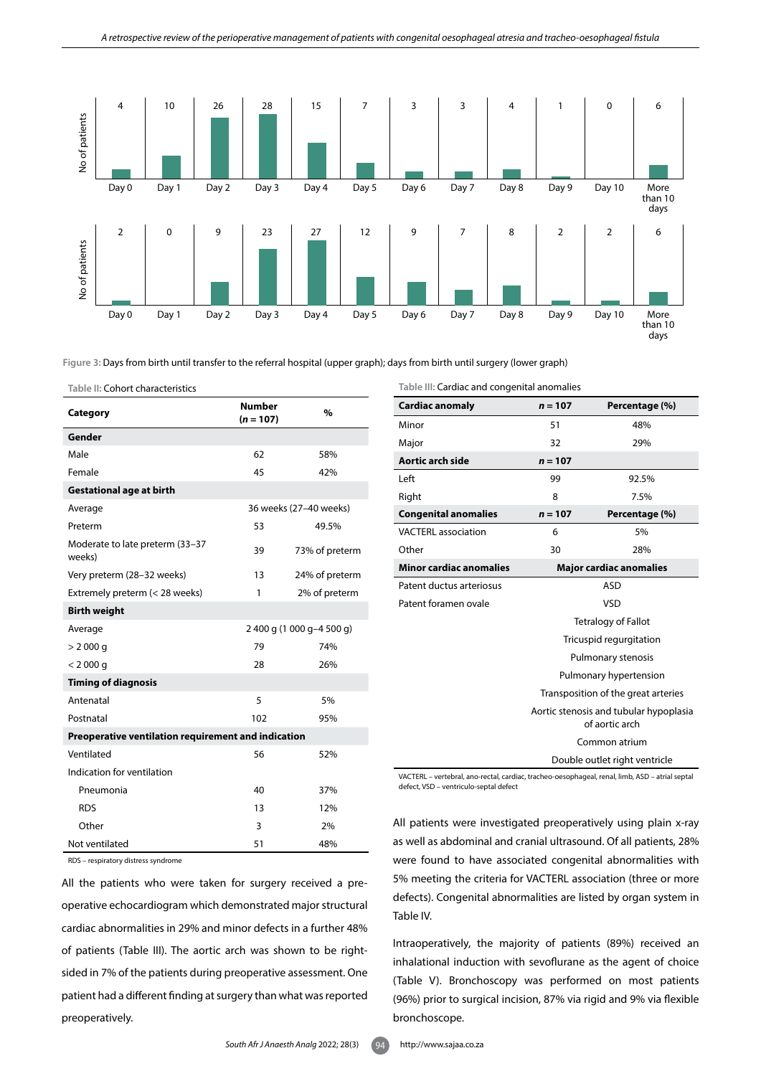

#### **Table II:** Cohort characteristics

| Category                                            | <b>Number</b><br>$(n = 107)$ | %                         |  |
|-----------------------------------------------------|------------------------------|---------------------------|--|
| Gender                                              |                              |                           |  |
| Male                                                | 62                           | 58%                       |  |
| Female                                              | 45                           | 42%                       |  |
| <b>Gestational age at birth</b>                     |                              |                           |  |
| Average                                             |                              | 36 weeks (27-40 weeks)    |  |
| Preterm                                             | 53                           | 49.5%                     |  |
| Moderate to late preterm (33-37<br>weeks)           | 39                           | 73% of preterm            |  |
| Very preterm (28-32 weeks)                          | 13                           | 24% of preterm            |  |
| Extremely preterm (< 28 weeks)                      | 1                            | 2% of preterm             |  |
| <b>Birth weight</b>                                 |                              |                           |  |
| Average                                             |                              | 2 400 g (1 000 g-4 500 g) |  |
| $> 2000$ q                                          | 79                           | 74%                       |  |
| < 2000 q                                            | 28                           | 26%                       |  |
| <b>Timing of diagnosis</b>                          |                              |                           |  |
| Antenatal                                           | 5                            | 5%                        |  |
| Postnatal                                           | 102                          | 95%                       |  |
| Preoperative ventilation requirement and indication |                              |                           |  |
| Ventilated                                          | 56                           | 52%                       |  |
| Indication for ventilation                          |                              |                           |  |
| Pneumonia                                           | 40                           | 37%                       |  |
| <b>RDS</b>                                          | 13                           | 12%                       |  |
| Other                                               | 3                            | 2%                        |  |
| Not ventilated                                      | 51                           | 48%                       |  |

RDS – respiratory distress syndrome

All the patients who were taken for surgery received a preoperative echocardiogram which demonstrated major structural cardiac abnormalities in 29% and minor defects in a further 48% of patients (Table III). The aortic arch was shown to be rightsided in 7% of the patients during preoperative assessment. One patient had a different finding at surgery than what was reported preoperatively.

**Table III:** Cardiac and congenital anomalies

| <b>Cardiac anomaly</b>         | $n = 107$                                                | Percentage (%) |  |
|--------------------------------|----------------------------------------------------------|----------------|--|
| Minor                          | 51                                                       | 48%            |  |
| Major                          | 32                                                       | 29%            |  |
| Aortic arch side               | $n = 107$                                                |                |  |
| Left                           | 99                                                       | 92.5%          |  |
| Right                          | 8                                                        | 7.5%           |  |
| <b>Congenital anomalies</b>    | $n = 107$                                                | Percentage (%) |  |
| <b>VACTERL</b> association     | 6                                                        | 5%             |  |
| Other                          | 30<br>28%                                                |                |  |
| <b>Minor cardiac anomalies</b> | <b>Major cardiac anomalies</b>                           |                |  |
| Patent ductus arteriosus       | <b>ASD</b>                                               |                |  |
| Patent foramen ovale           | <b>VSD</b>                                               |                |  |
|                                | <b>Tetralogy of Fallot</b>                               |                |  |
|                                | Tricuspid regurgitation                                  |                |  |
|                                | Pulmonary stenosis                                       |                |  |
|                                | Pulmonary hypertension                                   |                |  |
|                                | Transposition of the great arteries                      |                |  |
|                                | Aortic stenosis and tubular hypoplasia<br>of aortic arch |                |  |
|                                | Common atrium                                            |                |  |
|                                | Double outlet right ventricle                            |                |  |

VACTERL – vertebral, ano-rectal, cardiac, tracheo-oesophageal, renal, limb, ASD – atrial septal defect, VSD – ventriculo-septal defect

All patients were investigated preoperatively using plain x-ray as well as abdominal and cranial ultrasound. Of all patients, 28% were found to have associated congenital abnormalities with 5% meeting the criteria for VACTERL association (three or more defects). Congenital abnormalities are listed by organ system in Table IV.

Intraoperatively, the majority of patients (89%) received an inhalational induction with sevoflurane as the agent of choice (Table V). Bronchoscopy was performed on most patients (96%) prior to surgical incision, 87% via rigid and 9% via flexible bronchoscope.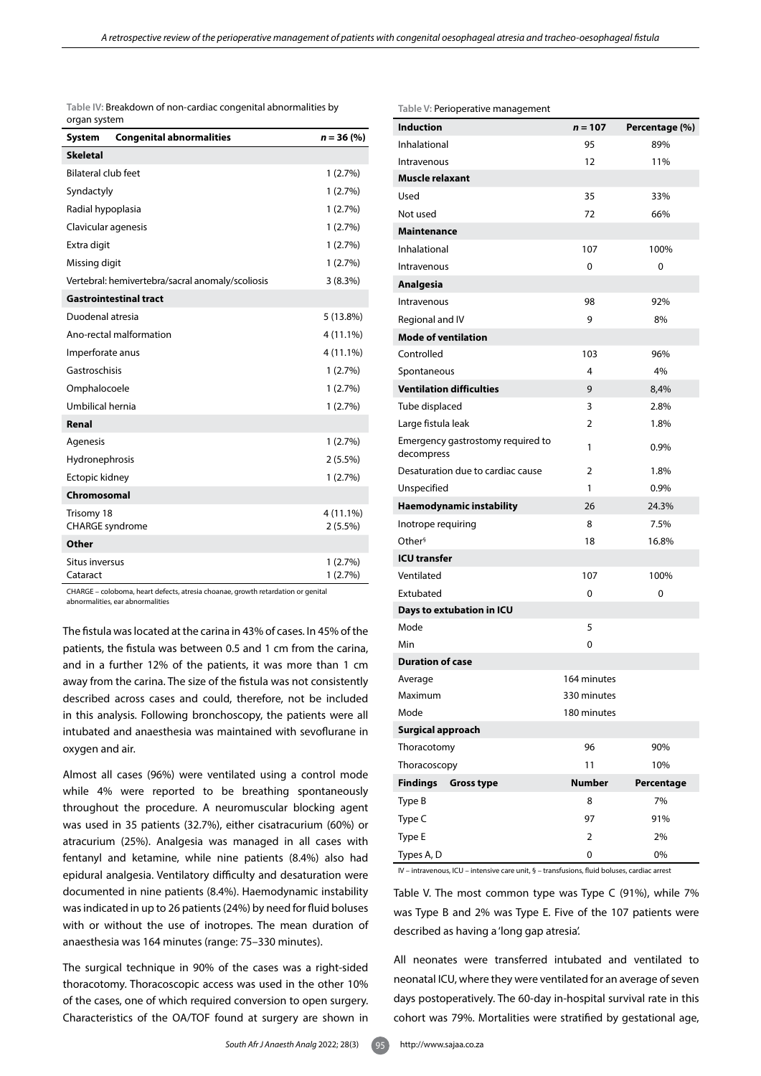| Table IV: Breakdown of non-cardiac congenital abnormalities by |  |
|----------------------------------------------------------------|--|
| organ system                                                   |  |

| <b>System</b>                        | <b>Congenital abnormalities</b>                  | $n = 36 (%)$            |  |
|--------------------------------------|--------------------------------------------------|-------------------------|--|
| <b>Skeletal</b>                      |                                                  |                         |  |
| <b>Bilateral club feet</b>           | 1(2.7%)                                          |                         |  |
| Syndactyly                           |                                                  | 1(2.7%)                 |  |
| Radial hypoplasia                    |                                                  | 1(2.7%)                 |  |
| Clavicular agenesis                  |                                                  | 1(2.7%)                 |  |
| Extra digit                          |                                                  | 1(2.7%)                 |  |
| Missing digit                        |                                                  | 1(2.7%)                 |  |
|                                      | Vertebral: hemivertebra/sacral anomaly/scoliosis | 3(8.3%)                 |  |
|                                      | <b>Gastrointestinal tract</b>                    |                         |  |
| Duodenal atresia                     |                                                  | 5 (13.8%)               |  |
|                                      | Ano-rectal malformation                          | 4 (11.1%)               |  |
| Imperforate anus                     |                                                  | 4 (11.1%)               |  |
| Gastroschisis                        |                                                  | 1(2.7%)                 |  |
| Omphalocoele                         |                                                  | 1(2.7%)                 |  |
| Umbilical hernia                     |                                                  | 1(2.7%)                 |  |
| Renal                                |                                                  |                         |  |
| Agenesis                             |                                                  | 1(2.7%)                 |  |
| Hydronephrosis                       |                                                  | $2(5.5\%)$              |  |
| Ectopic kidney                       |                                                  | 1(2.7%)                 |  |
| Chromosomal                          |                                                  |                         |  |
| Trisomy 18<br><b>CHARGE</b> syndrome |                                                  | 4 (11.1%)<br>$2(5.5\%)$ |  |
| Other                                |                                                  |                         |  |
| Situs inversus<br>Cataract           |                                                  | 1(2.7%)<br>1(2.7%)      |  |

CHARGE – coloboma, heart defects, atresia choanae, growth retardation or genital abnormalities, ear abnormalities

The fistula was located at the carina in 43% of cases. In 45% of the patients, the fistula was between 0.5 and 1 cm from the carina, and in a further 12% of the patients, it was more than 1 cm away from the carina. The size of the fistula was not consistently described across cases and could, therefore, not be included in this analysis. Following bronchoscopy, the patients were all intubated and anaesthesia was maintained with sevoflurane in oxygen and air.

Almost all cases (96%) were ventilated using a control mode while 4% were reported to be breathing spontaneously throughout the procedure. A neuromuscular blocking agent was used in 35 patients (32.7%), either cisatracurium (60%) or atracurium (25%). Analgesia was managed in all cases with fentanyl and ketamine, while nine patients (8.4%) also had epidural analgesia. Ventilatory difficulty and desaturation were documented in nine patients (8.4%). Haemodynamic instability was indicated in up to 26 patients (24%) by need for fluid boluses with or without the use of inotropes. The mean duration of anaesthesia was 164 minutes (range: 75–330 minutes).

The surgical technique in 90% of the cases was a right-sided thoracotomy. Thoracoscopic access was used in the other 10% of the cases, one of which required conversion to open surgery. Characteristics of the OA/TOF found at surgery are shown in

Table V. The most common type was Type C (91%), while 7% was Type B and 2% was Type E. Five of the 107 patients were described as having a 'long gap atresia'. **ICU transfer Days to extubation in ICU** Mode 5 Min 0 **Duration of case Surgical approach** IV – intravenous, ICU – intensive care unit, § – transfusions, fluid boluses, cardiac arrest

> All neonates were transferred intubated and ventilated to neonatal ICU, where they were ventilated for an average of seven days postoperatively. The 60-day in-hospital survival rate in this cohort was 79%. Mortalities were stratified by gestational age,

**Table V:** Perioperative management

| <b>Induction</b>                                | $n = 107$   | Percentage (%) |
|-------------------------------------------------|-------------|----------------|
| Inhalational                                    | 95          | 89%            |
| Intravenous                                     | 12          | 11%            |
| <b>Muscle relaxant</b>                          |             |                |
| Used                                            | 35          | 33%            |
| Not used                                        | 72          | 66%            |
| <b>Maintenance</b>                              |             |                |
| Inhalational                                    | 107         | 100%           |
| Intravenous                                     | 0           | 0              |
| <b>Analgesia</b>                                |             |                |
| Intravenous                                     | 98          | 92%            |
| Regional and IV                                 | 9           | 8%             |
| <b>Mode of ventilation</b>                      |             |                |
| Controlled                                      | 103         | 96%            |
| Spontaneous                                     | 4           | 4%             |
| <b>Ventilation difficulties</b>                 | 9           | 8,4%           |
| Tube displaced                                  | 3           | 2.8%           |
| Large fistula leak                              | 2           | 1.8%           |
| Emergency gastrostomy required to<br>decompress | 1           | 0.9%           |
| Desaturation due to cardiac cause               | 2           | 1.8%           |
| Unspecified                                     | 1           | 0.9%           |
| Haemodynamic instability                        | 26          | 24.3%          |
| Inotrope requiring                              | 8           | 7.5%           |
| Other <sup>§</sup>                              | 18          | 16.8%          |
| <b>ICU transfer</b>                             |             |                |
| Ventilated                                      | 107         | 100%           |
| Extubated                                       | 0           | 0              |
| Days to extubation in ICU                       |             |                |
| Mode                                            | 5           |                |
| Min                                             | 0           |                |
| <b>Duration of case</b>                         |             |                |
| Average                                         | 164 minutes |                |
| Maximum                                         | 330 minutes |                |
| Mode                                            | 180 minutes |                |
| <b>Surgical approach</b>                        |             |                |
| Thoracotomy                                     | 96          | 90%            |
| Thoracoscopy                                    | 11          | 10%            |
| <b>Findings</b><br><b>Gross type</b>            | Number      | Percentage     |
| Type B                                          | 8           | 7%             |
| Type C                                          | 97          | 91%            |
| Type E                                          | 2           | 2%             |
| Types A, D                                      | 0           | 0%             |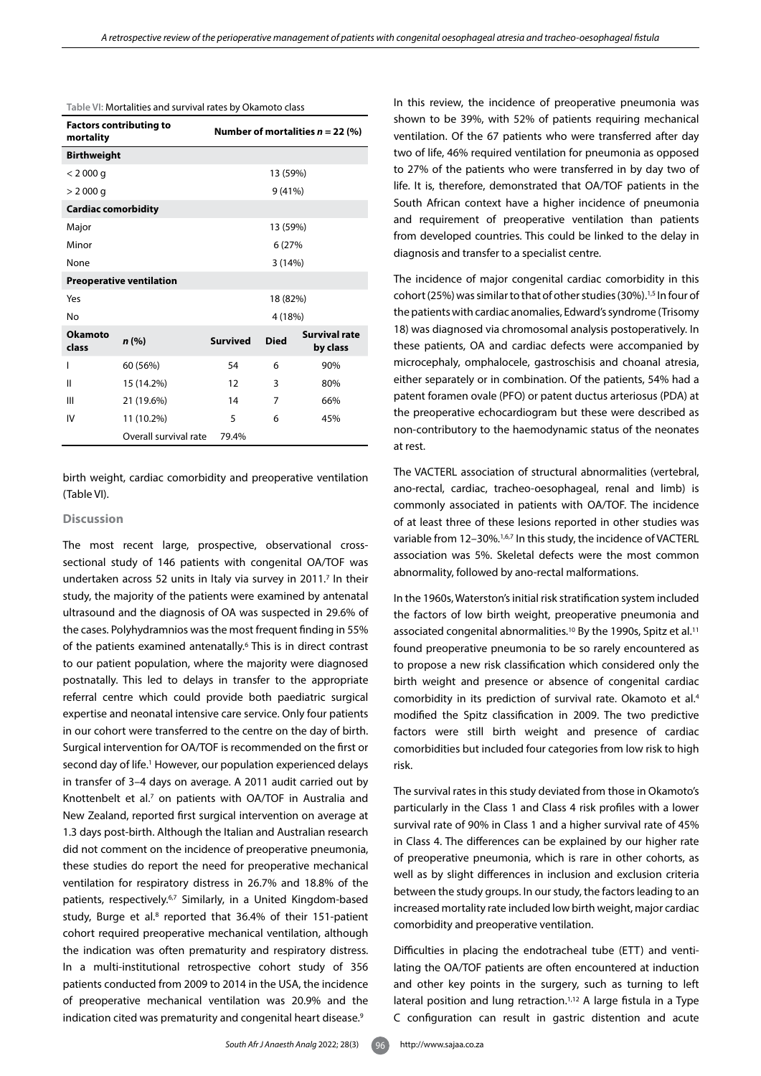| <b>Factors contributing to</b><br>mortality |                       | Number of mortalities $n = 22$ (%) |             |                                  |  |
|---------------------------------------------|-----------------------|------------------------------------|-------------|----------------------------------|--|
| <b>Birthweight</b>                          |                       |                                    |             |                                  |  |
| < 2000 q                                    |                       |                                    | 13 (59%)    |                                  |  |
| $> 2000$ g                                  |                       |                                    | 9 (41%)     |                                  |  |
| <b>Cardiac comorbidity</b>                  |                       |                                    |             |                                  |  |
| Major                                       |                       |                                    | 13 (59%)    |                                  |  |
| Minor                                       |                       |                                    | 6 (27%)     |                                  |  |
| None                                        |                       |                                    | 3(14%)      |                                  |  |
| <b>Preoperative ventilation</b>             |                       |                                    |             |                                  |  |
| Yes<br>18 (82%)                             |                       |                                    |             |                                  |  |
| No                                          |                       | 4 (18%)                            |             |                                  |  |
| <b>Okamoto</b><br>class                     | n (%)                 | <b>Survived</b>                    | <b>Died</b> | <b>Survival rate</b><br>by class |  |
| ı                                           | 60 (56%)              | 54                                 | 6           | 90%                              |  |
| Ш                                           | 15 (14.2%)            | 12                                 | 3           | 80%                              |  |
| Ш                                           | 21 (19.6%)            | 14                                 | 7           | 66%                              |  |
| IV                                          | 11 (10.2%)            | 5                                  | 6           | 45%                              |  |
|                                             | Overall survival rate | 79.4%                              |             |                                  |  |

**Table VI:** Mortalities and survival rates by Okamoto class

birth weight, cardiac comorbidity and preoperative ventilation (Table VI).

#### **Discussion**

The most recent large, prospective, observational crosssectional study of 146 patients with congenital OA/TOF was undertaken across 52 units in Italy via survey in 2011.<sup>7</sup> In their study, the majority of the patients were examined by antenatal ultrasound and the diagnosis of OA was suspected in 29.6% of the cases. Polyhydramnios was the most frequent finding in 55% of the patients examined antenatally.6 This is in direct contrast to our patient population, where the majority were diagnosed postnatally. This led to delays in transfer to the appropriate referral centre which could provide both paediatric surgical expertise and neonatal intensive care service. Only four patients in our cohort were transferred to the centre on the day of birth. Surgical intervention for OA/TOF is recommended on the first or second day of life.<sup>1</sup> However, our population experienced delays in transfer of 3–4 days on average. A 2011 audit carried out by Knottenbelt et al.<sup>7</sup> on patients with OA/TOF in Australia and New Zealand, reported first surgical intervention on average at 1.3 days post-birth. Although the Italian and Australian research did not comment on the incidence of preoperative pneumonia, these studies do report the need for preoperative mechanical ventilation for respiratory distress in 26.7% and 18.8% of the patients, respectively.<sup>6,7</sup> Similarly, in a United Kingdom-based study, Burge et al.<sup>8</sup> reported that 36.4% of their 151-patient cohort required preoperative mechanical ventilation, although the indication was often prematurity and respiratory distress. In a multi-institutional retrospective cohort study of 356 patients conducted from 2009 to 2014 in the USA, the incidence of preoperative mechanical ventilation was 20.9% and the indication cited was prematurity and congenital heart disease.<sup>9</sup>

In this review, the incidence of preoperative pneumonia was shown to be 39%, with 52% of patients requiring mechanical ventilation. Of the 67 patients who were transferred after day two of life, 46% required ventilation for pneumonia as opposed to 27% of the patients who were transferred in by day two of life. It is, therefore, demonstrated that OA/TOF patients in the South African context have a higher incidence of pneumonia and requirement of preoperative ventilation than patients from developed countries. This could be linked to the delay in diagnosis and transfer to a specialist centre.

The incidence of major congenital cardiac comorbidity in this cohort (25%) was similar to that of other studies (30%).<sup>1,5</sup> In four of the patients with cardiac anomalies, Edward's syndrome (Trisomy 18) was diagnosed via chromosomal analysis postoperatively. In these patients, OA and cardiac defects were accompanied by microcephaly, omphalocele, gastroschisis and choanal atresia, either separately or in combination. Of the patients, 54% had a patent foramen ovale (PFO) or patent ductus arteriosus (PDA) at the preoperative echocardiogram but these were described as non-contributory to the haemodynamic status of the neonates at rest.

The VACTERL association of structural abnormalities (vertebral, ano-rectal, cardiac, tracheo-oesophageal, renal and limb) is commonly associated in patients with OA/TOF. The incidence of at least three of these lesions reported in other studies was variable from 12-30%.<sup>1,6,7</sup> In this study, the incidence of VACTERL association was 5%. Skeletal defects were the most common abnormality, followed by ano-rectal malformations.

In the 1960s, Waterston's initial risk stratification system included the factors of low birth weight, preoperative pneumonia and associated congenital abnormalities.<sup>10</sup> By the 1990s, Spitz et al.<sup>11</sup> found preoperative pneumonia to be so rarely encountered as to propose a new risk classification which considered only the birth weight and presence or absence of congenital cardiac comorbidity in its prediction of survival rate. Okamoto et al.4 modified the Spitz classification in 2009. The two predictive factors were still birth weight and presence of cardiac comorbidities but included four categories from low risk to high risk.

The survival rates in this study deviated from those in Okamoto's particularly in the Class 1 and Class 4 risk profiles with a lower survival rate of 90% in Class 1 and a higher survival rate of 45% in Class 4. The differences can be explained by our higher rate of preoperative pneumonia, which is rare in other cohorts, as well as by slight differences in inclusion and exclusion criteria between the study groups. In our study, the factors leading to an increased mortality rate included low birth weight, major cardiac comorbidity and preoperative ventilation.

Difficulties in placing the endotracheal tube (ETT) and ventilating the OA/TOF patients are often encountered at induction and other key points in the surgery, such as turning to left lateral position and lung retraction.<sup>1,12</sup> A large fistula in a Type C configuration can result in gastric distention and acute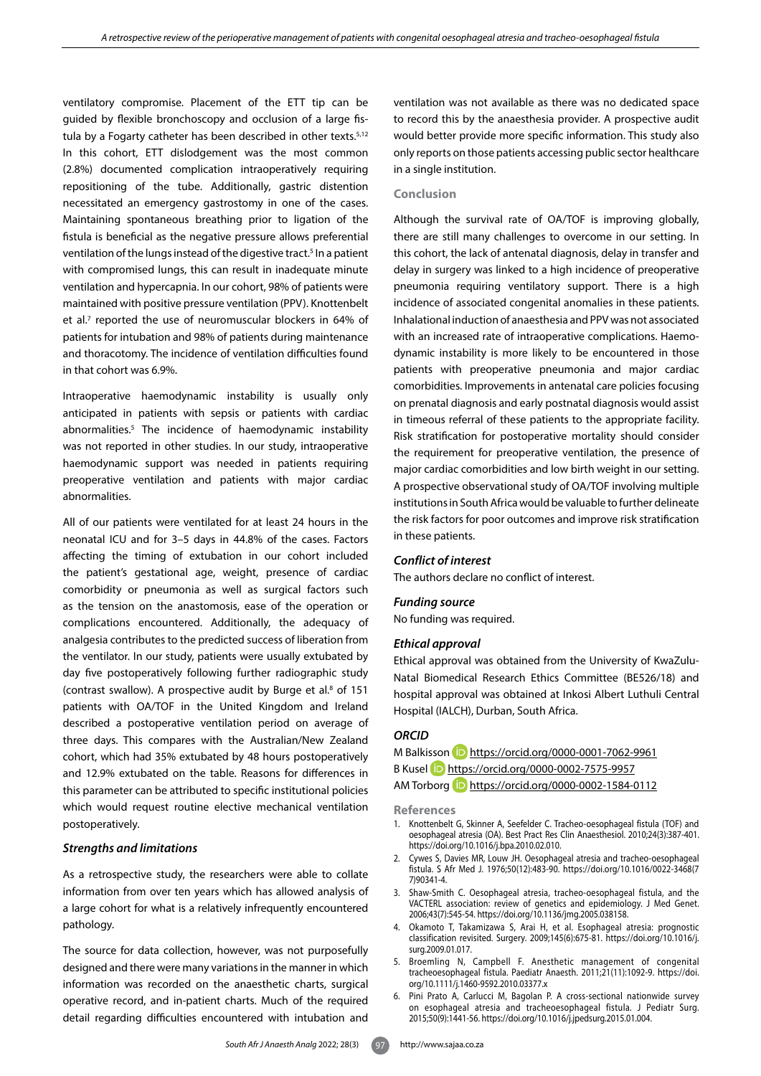ventilatory compromise. Placement of the ETT tip can be guided by flexible bronchoscopy and occlusion of a large fistula by a Fogarty catheter has been described in other texts.<sup>5,12</sup> In this cohort, ETT dislodgement was the most common (2.8%) documented complication intraoperatively requiring repositioning of the tube. Additionally, gastric distention necessitated an emergency gastrostomy in one of the cases. Maintaining spontaneous breathing prior to ligation of the fistula is beneficial as the negative pressure allows preferential ventilation of the lungs instead of the digestive tract.<sup>5</sup> In a patient with compromised lungs, this can result in inadequate minute ventilation and hypercapnia. In our cohort, 98% of patients were maintained with positive pressure ventilation (PPV). Knottenbelt et al.<sup>7</sup> reported the use of neuromuscular blockers in 64% of patients for intubation and 98% of patients during maintenance and thoracotomy. The incidence of ventilation difficulties found in that cohort was 6.9%.

Intraoperative haemodynamic instability is usually only anticipated in patients with sepsis or patients with cardiac abnormalities.5 The incidence of haemodynamic instability was not reported in other studies. In our study, intraoperative haemodynamic support was needed in patients requiring preoperative ventilation and patients with major cardiac abnormalities.

All of our patients were ventilated for at least 24 hours in the neonatal ICU and for 3–5 days in 44.8% of the cases. Factors affecting the timing of extubation in our cohort included the patient's gestational age, weight, presence of cardiac comorbidity or pneumonia as well as surgical factors such as the tension on the anastomosis, ease of the operation or complications encountered. Additionally, the adequacy of analgesia contributes to the predicted success of liberation from the ventilator. In our study, patients were usually extubated by day five postoperatively following further radiographic study (contrast swallow). A prospective audit by Burge et al.<sup>8</sup> of 151 patients with OA/TOF in the United Kingdom and Ireland described a postoperative ventilation period on average of three days. This compares with the Australian/New Zealand cohort, which had 35% extubated by 48 hours postoperatively and 12.9% extubated on the table. Reasons for differences in this parameter can be attributed to specific institutional policies which would request routine elective mechanical ventilation postoperatively.

## *Strengths and limitations*

As a retrospective study, the researchers were able to collate information from over ten years which has allowed analysis of a large cohort for what is a relatively infrequently encountered pathology.

The source for data collection, however, was not purposefully designed and there were many variations in the manner in which information was recorded on the anaesthetic charts, surgical operative record, and in-patient charts. Much of the required detail regarding difficulties encountered with intubation and

*South Afr J Anaesth Analg* 2022; 28(3) 97 http://www.sajaa.co.za

ventilation was not available as there was no dedicated space to record this by the anaesthesia provider. A prospective audit would better provide more specific information. This study also only reports on those patients accessing public sector healthcare in a single institution.

## **Conclusion**

Although the survival rate of OA/TOF is improving globally, there are still many challenges to overcome in our setting. In this cohort, the lack of antenatal diagnosis, delay in transfer and delay in surgery was linked to a high incidence of preoperative pneumonia requiring ventilatory support. There is a high incidence of associated congenital anomalies in these patients. Inhalational induction of anaesthesia and PPV was not associated with an increased rate of intraoperative complications. Haemodynamic instability is more likely to be encountered in those patients with preoperative pneumonia and major cardiac comorbidities. Improvements in antenatal care policies focusing on prenatal diagnosis and early postnatal diagnosis would assist in timeous referral of these patients to the appropriate facility. Risk stratification for postoperative mortality should consider the requirement for preoperative ventilation, the presence of major cardiac comorbidities and low birth weight in our setting. A prospective observational study of OA/TOF involving multiple institutions in South Africa would be valuable to further delineate the risk factors for poor outcomes and improve risk stratification in these patients.

## *Conflict of interest*

The authors declare no conflict of interest.

#### *Funding source*

No funding was required.

#### *Ethical approval*

Ethical approval was obtained from the University of KwaZulu-Natal Biomedical Research Ethics Committee (BE526/18) and hospital approval was obtained at Inkosi Albert Luthuli Central Hospital (IALCH), Durban, South Africa.

## *ORCID*

M Balkisson **iD** <https://orcid.org/0000-0001-7062-9961> B Kusel <https://orcid.org/0000-0002-7575-9957> AM Torborg **D** <https://orcid.org/0000-0002-1584-0112>

**References**

- 1. Knottenbelt G, Skinner A, Seefelder C. Tracheo-oesophageal fistula (TOF) and oesophageal atresia (OA). Best Pract Res Clin Anaesthesiol. 2010;24(3):387-401. https://doi.org/10.1016/j.bpa.2010.02.010.
- 2. Cywes S, Davies MR, Louw JH. Oesophageal atresia and tracheo-oesophageal fistula. S Afr Med J. 1976;50(12):483-90. https://doi.org/10.1016/0022-3468(7 7)90341-4.
- 3. Shaw-Smith C. Oesophageal atresia, tracheo-oesophageal fistula, and the VACTERL association: review of genetics and epidemiology. J Med Genet. 2006;43(7):545-54. https://doi.org/10.1136/jmg.2005.038158.
- 4. Okamoto T, Takamizawa S, Arai H, et al. Esophageal atresia: prognostic classification revisited. Surgery. 2009;145(6):675-81. https://doi.org/10.1016/j. surg.2009.01.017.
- 5. Broemling N, Campbell F. Anesthetic management of congenital tracheoesophageal fistula. Paediatr Anaesth. 2011;21(11):1092-9. https://doi. org/10.1111/j.1460-9592.2010.03377.x
- 6. Pini Prato A, Carlucci M, Bagolan P. A cross-sectional nationwide survey on esophageal atresia and tracheoesophageal fistula. J Pediatr Surg. 2015;50(9):1441-56. https://doi.org/10.1016/j.jpedsurg.2015.01.004.